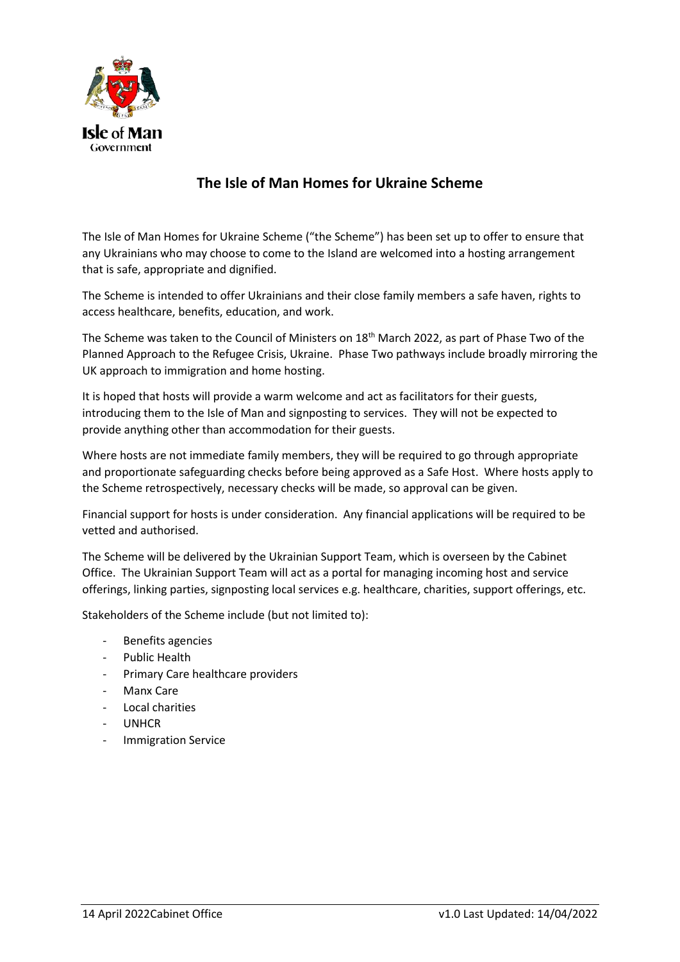

# **The Isle of Man Homes for Ukraine Scheme**

The Isle of Man Homes for Ukraine Scheme ("the Scheme") has been set up to offer to ensure that any Ukrainians who may choose to come to the Island are welcomed into a hosting arrangement that is safe, appropriate and dignified.

The Scheme is intended to offer Ukrainians and their close family members a safe haven, rights to access healthcare, benefits, education, and work.

The Scheme was taken to the Council of Ministers on 18<sup>th</sup> March 2022, as part of Phase Two of the Planned Approach to the Refugee Crisis, Ukraine. Phase Two pathways include broadly mirroring the UK approach to immigration and home hosting.

It is hoped that hosts will provide a warm welcome and act as facilitators for their guests, introducing them to the Isle of Man and signposting to services. They will not be expected to provide anything other than accommodation for their guests.

Where hosts are not immediate family members, they will be required to go through appropriate and proportionate safeguarding checks before being approved as a Safe Host. Where hosts apply to the Scheme retrospectively, necessary checks will be made, so approval can be given.

Financial support for hosts is under consideration. Any financial applications will be required to be vetted and authorised.

The Scheme will be delivered by the Ukrainian Support Team, which is overseen by the Cabinet Office. The Ukrainian Support Team will act as a portal for managing incoming host and service offerings, linking parties, signposting local services e.g. healthcare, charities, support offerings, etc.

Stakeholders of the Scheme include (but not limited to):

- Benefits agencies
- Public Health
- Primary Care healthcare providers
- Manx Care
- Local charities
- **UNHCR**
- Immigration Service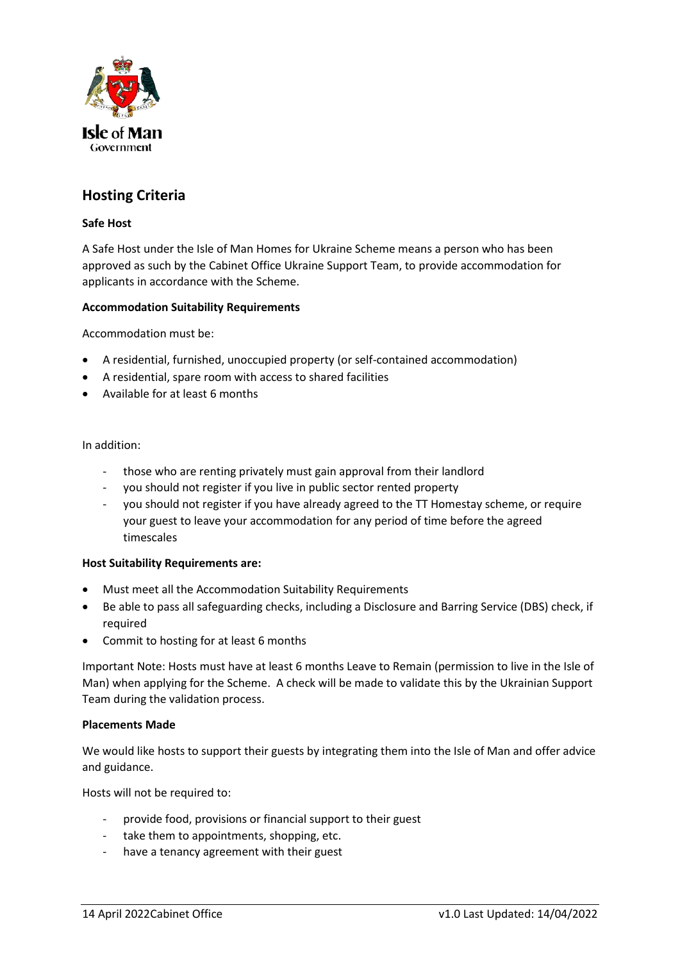

# **Hosting Criteria**

## **Safe Host**

A Safe Host under the Isle of Man Homes for Ukraine Scheme means a person who has been approved as such by the Cabinet Office Ukraine Support Team, to provide accommodation for applicants in accordance with the Scheme.

### **Accommodation Suitability Requirements**

Accommodation must be:

- A residential, furnished, unoccupied property (or self-contained accommodation)
- A residential, spare room with access to shared facilities
- Available for at least 6 months

#### In addition:

- those who are renting privately must gain approval from their landlord
- you should not register if you live in public sector rented property
- you should not register if you have already agreed to the TT Homestay scheme, or require your guest to leave your accommodation for any period of time before the agreed timescales

#### **Host Suitability Requirements are:**

- Must meet all the Accommodation Suitability Requirements
- Be able to pass all safeguarding checks, including a Disclosure and Barring Service (DBS) check, if required
- Commit to hosting for at least 6 months

Important Note: Hosts must have at least 6 months Leave to Remain (permission to live in the Isle of Man) when applying for the Scheme. A check will be made to validate this by the Ukrainian Support Team during the validation process.

#### **Placements Made**

We would like hosts to support their guests by integrating them into the Isle of Man and offer advice and guidance.

Hosts will not be required to:

- provide food, provisions or financial support to their guest
- take them to appointments, shopping, etc.
- have a tenancy agreement with their guest